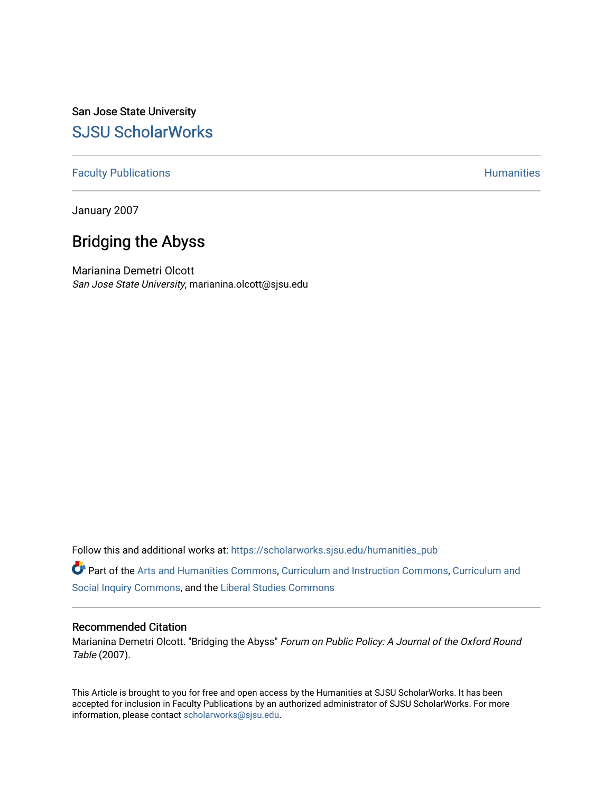San Jose State University [SJSU ScholarWorks](https://scholarworks.sjsu.edu/) 

## [Faculty Publications](https://scholarworks.sjsu.edu/humanities_pub) **Humanities**

January 2007

# Bridging the Abyss

Marianina Demetri Olcott San Jose State University, marianina.olcott@sjsu.edu

Follow this and additional works at: [https://scholarworks.sjsu.edu/humanities\\_pub](https://scholarworks.sjsu.edu/humanities_pub?utm_source=scholarworks.sjsu.edu%2Fhumanities_pub%2F13&utm_medium=PDF&utm_campaign=PDFCoverPages) 

Part of the [Arts and Humanities Commons,](http://network.bepress.com/hgg/discipline/438?utm_source=scholarworks.sjsu.edu%2Fhumanities_pub%2F13&utm_medium=PDF&utm_campaign=PDFCoverPages) [Curriculum and Instruction Commons,](http://network.bepress.com/hgg/discipline/786?utm_source=scholarworks.sjsu.edu%2Fhumanities_pub%2F13&utm_medium=PDF&utm_campaign=PDFCoverPages) [Curriculum and](http://network.bepress.com/hgg/discipline/1038?utm_source=scholarworks.sjsu.edu%2Fhumanities_pub%2F13&utm_medium=PDF&utm_campaign=PDFCoverPages)  [Social Inquiry Commons](http://network.bepress.com/hgg/discipline/1038?utm_source=scholarworks.sjsu.edu%2Fhumanities_pub%2F13&utm_medium=PDF&utm_campaign=PDFCoverPages), and the [Liberal Studies Commons](http://network.bepress.com/hgg/discipline/1042?utm_source=scholarworks.sjsu.edu%2Fhumanities_pub%2F13&utm_medium=PDF&utm_campaign=PDFCoverPages)

#### Recommended Citation

Marianina Demetri Olcott. "Bridging the Abyss" Forum on Public Policy: A Journal of the Oxford Round Table (2007).

This Article is brought to you for free and open access by the Humanities at SJSU ScholarWorks. It has been accepted for inclusion in Faculty Publications by an authorized administrator of SJSU ScholarWorks. For more information, please contact [scholarworks@sjsu.edu.](mailto:scholarworks@sjsu.edu)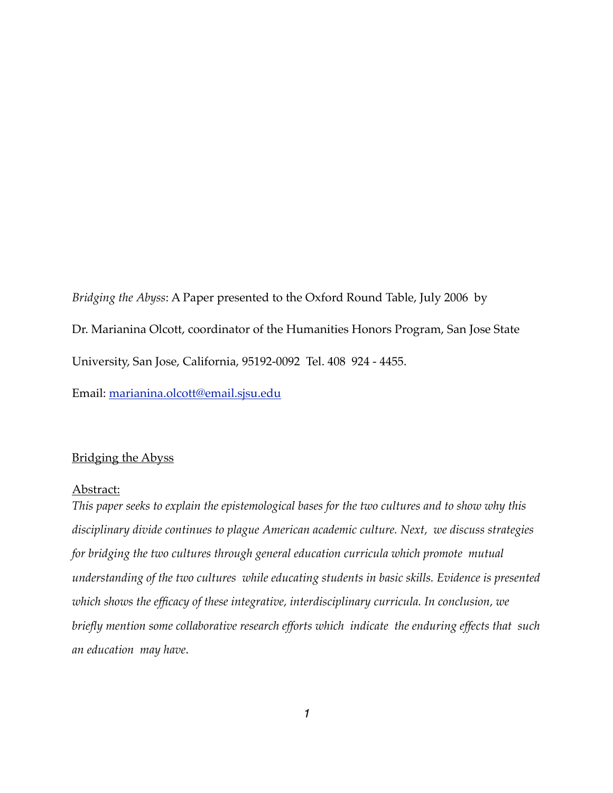*Bridging the Abyss*: A Paper presented to the Oxford Round Table, July 2006 by Dr. Marianina Olcott, coordinator of the Humanities Honors Program, San Jose State University, San Jose, California, 95192-0092 Tel. 408 924 - 4455.

Email: [marianina.olcott@email.sjsu.edu](mailto:marianina.olcott@email.sjsu.edu)

# Bridging the Abyss

#### Abstract:

*This paper seeks to explain the epistemological bases for the two cultures and to show why this disciplinary divide continues to plague American academic culture. Next, we discuss strategies for bridging the two cultures through general education curricula which promote mutual understanding of the two cultures while educating students in basic skills. Evidence is presented which shows the efficacy of these integrative, interdisciplinary curricula. In conclusion, we briefly mention some collaborative research efforts which indicate the enduring effects that such an education may have*.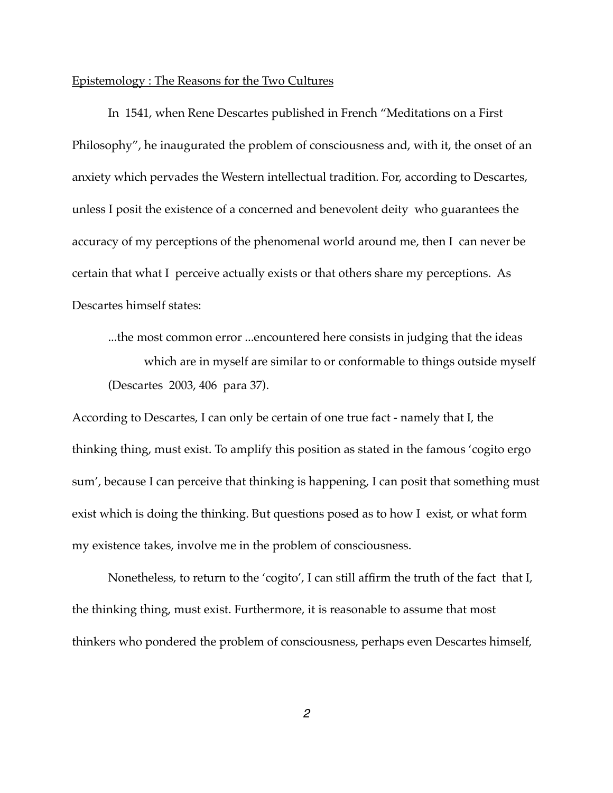#### Epistemology : The Reasons for the Two Cultures

In 1541, when Rene Descartes published in French "Meditations on a First Philosophy", he inaugurated the problem of consciousness and, with it, the onset of an anxiety which pervades the Western intellectual tradition. For, according to Descartes, unless I posit the existence of a concerned and benevolent deity who guarantees the accuracy of my perceptions of the phenomenal world around me, then I can never be certain that what I perceive actually exists or that others share my perceptions. As Descartes himself states:

...the most common error ...encountered here consists in judging that the ideas which are in myself are similar to or conformable to things outside myself (Descartes 2003, 406 para 37).

According to Descartes, I can only be certain of one true fact - namely that I, the thinking thing, must exist. To amplify this position as stated in the famous 'cogito ergo sum', because I can perceive that thinking is happening, I can posit that something must exist which is doing the thinking. But questions posed as to how I exist, or what form my existence takes, involve me in the problem of consciousness.

Nonetheless, to return to the 'cogito', I can still affirm the truth of the fact that I, the thinking thing, must exist. Furthermore, it is reasonable to assume that most thinkers who pondered the problem of consciousness, perhaps even Descartes himself,

*2*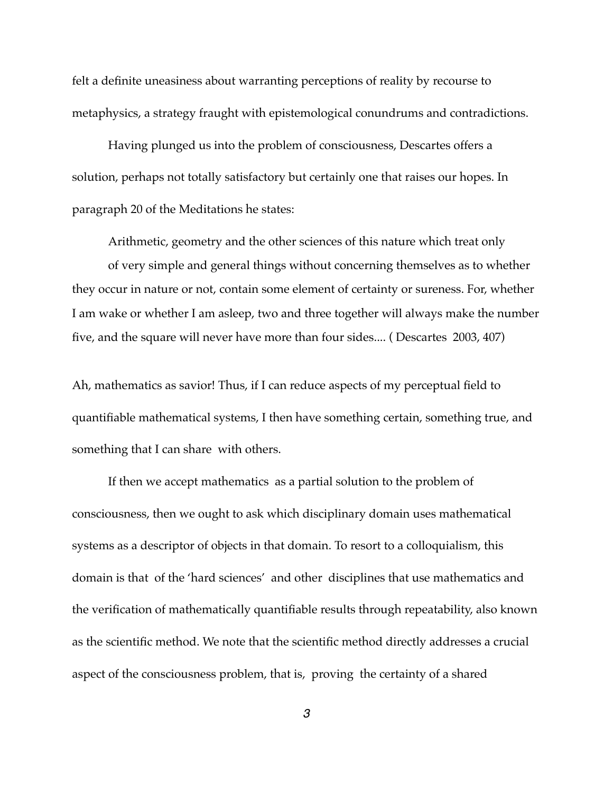felt a definite uneasiness about warranting perceptions of reality by recourse to metaphysics, a strategy fraught with epistemological conundrums and contradictions.

Having plunged us into the problem of consciousness, Descartes offers a solution, perhaps not totally satisfactory but certainly one that raises our hopes. In paragraph 20 of the Meditations he states:

Arithmetic, geometry and the other sciences of this nature which treat only of very simple and general things without concerning themselves as to whether they occur in nature or not, contain some element of certainty or sureness. For, whether I am wake or whether I am asleep, two and three together will always make the number five, and the square will never have more than four sides.... ( Descartes 2003, 407)

Ah, mathematics as savior! Thus, if I can reduce aspects of my perceptual field to quantifiable mathematical systems, I then have something certain, something true, and something that I can share with others.

If then we accept mathematics as a partial solution to the problem of consciousness, then we ought to ask which disciplinary domain uses mathematical systems as a descriptor of objects in that domain. To resort to a colloquialism, this domain is that of the 'hard sciences' and other disciplines that use mathematics and the verification of mathematically quantifiable results through repeatability, also known as the scientific method. We note that the scientific method directly addresses a crucial aspect of the consciousness problem, that is, proving the certainty of a shared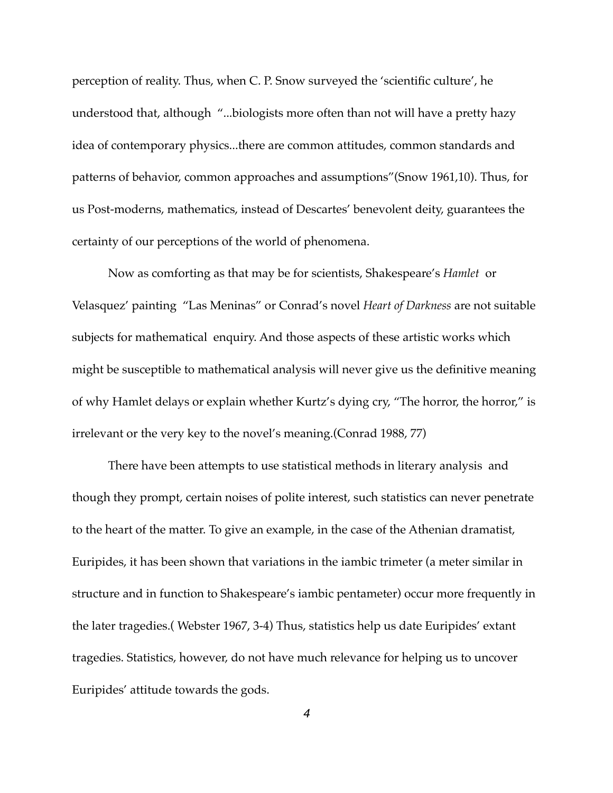perception of reality. Thus, when C. P. Snow surveyed the 'scientific culture', he understood that, although "...biologists more often than not will have a pretty hazy idea of contemporary physics...there are common attitudes, common standards and patterns of behavior, common approaches and assumptions"(Snow 1961,10). Thus, for us Post-moderns, mathematics, instead of Descartes' benevolent deity, guarantees the certainty of our perceptions of the world of phenomena.

Now as comforting as that may be for scientists, Shakespeare's *Hamlet* or Velasquez' painting "Las Meninas" or Conrad's novel *Heart of Darkness* are not suitable subjects for mathematical enquiry. And those aspects of these artistic works which might be susceptible to mathematical analysis will never give us the definitive meaning of why Hamlet delays or explain whether Kurtz's dying cry, "The horror, the horror," is irrelevant or the very key to the novel's meaning.(Conrad 1988, 77)

There have been attempts to use statistical methods in literary analysis and though they prompt, certain noises of polite interest, such statistics can never penetrate to the heart of the matter. To give an example, in the case of the Athenian dramatist, Euripides, it has been shown that variations in the iambic trimeter (a meter similar in structure and in function to Shakespeare's iambic pentameter) occur more frequently in the later tragedies.( Webster 1967, 3-4) Thus, statistics help us date Euripides' extant tragedies. Statistics, however, do not have much relevance for helping us to uncover Euripides' attitude towards the gods.

*4*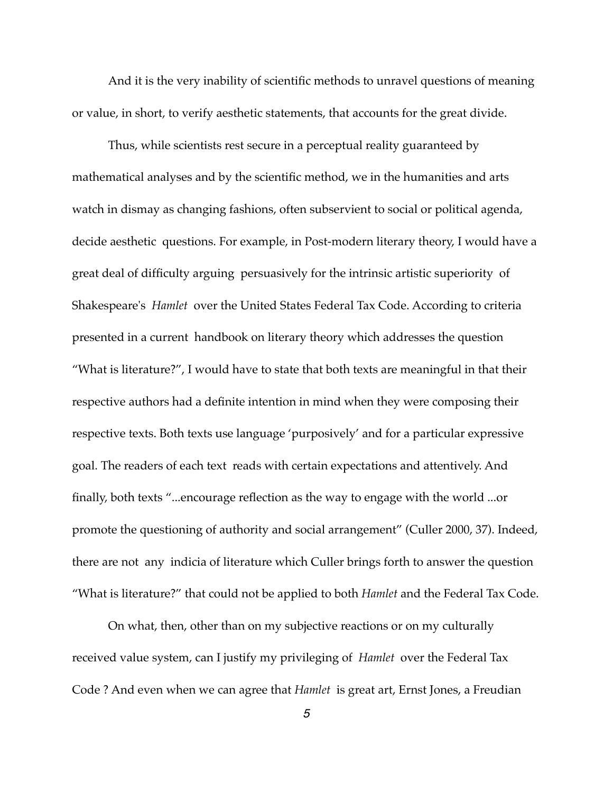And it is the very inability of scientific methods to unravel questions of meaning or value, in short, to verify aesthetic statements, that accounts for the great divide.

Thus, while scientists rest secure in a perceptual reality guaranteed by mathematical analyses and by the scientific method, we in the humanities and arts watch in dismay as changing fashions, often subservient to social or political agenda, decide aesthetic questions. For example, in Post-modern literary theory, I would have a great deal of difficulty arguing persuasively for the intrinsic artistic superiority of Shakespeare's *Hamlet* over the United States Federal Tax Code. According to criteria presented in a current handbook on literary theory which addresses the question "What is literature?", I would have to state that both texts are meaningful in that their respective authors had a definite intention in mind when they were composing their respective texts. Both texts use language 'purposively' and for a particular expressive goal. The readers of each text reads with certain expectations and attentively. And finally, both texts "...encourage reflection as the way to engage with the world ...or promote the questioning of authority and social arrangement" (Culler 2000, 37). Indeed, there are not any indicia of literature which Culler brings forth to answer the question "What is literature?" that could not be applied to both *Hamlet* and the Federal Tax Code.

On what, then, other than on my subjective reactions or on my culturally received value system, can I justify my privileging of *Hamlet* over the Federal Tax Code ? And even when we can agree that *Hamlet* is great art, Ernst Jones, a Freudian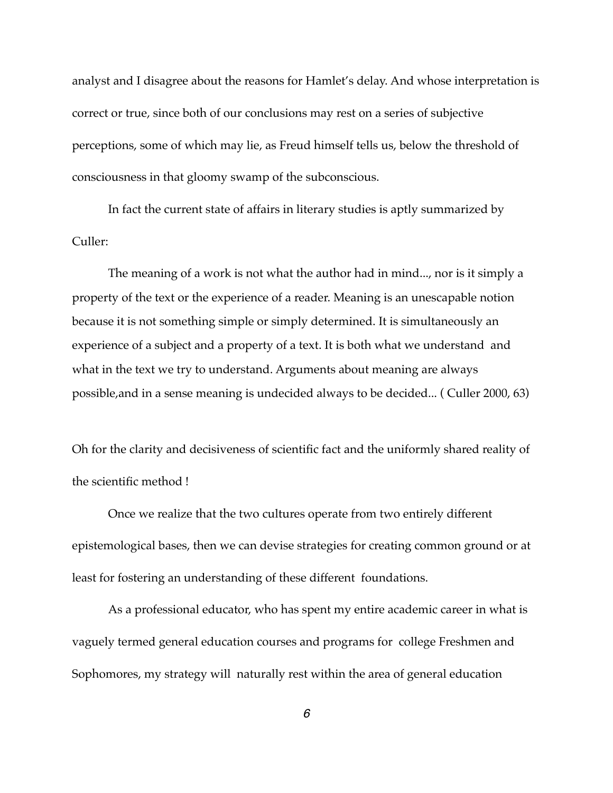analyst and I disagree about the reasons for Hamlet's delay. And whose interpretation is correct or true, since both of our conclusions may rest on a series of subjective perceptions, some of which may lie, as Freud himself tells us, below the threshold of consciousness in that gloomy swamp of the subconscious.

In fact the current state of affairs in literary studies is aptly summarized by Culler:

The meaning of a work is not what the author had in mind..., nor is it simply a property of the text or the experience of a reader. Meaning is an unescapable notion because it is not something simple or simply determined. It is simultaneously an experience of a subject and a property of a text. It is both what we understand and what in the text we try to understand. Arguments about meaning are always possible,and in a sense meaning is undecided always to be decided... ( Culler 2000, 63)

Oh for the clarity and decisiveness of scientific fact and the uniformly shared reality of the scientific method !

Once we realize that the two cultures operate from two entirely different epistemological bases, then we can devise strategies for creating common ground or at least for fostering an understanding of these different foundations.

As a professional educator, who has spent my entire academic career in what is vaguely termed general education courses and programs for college Freshmen and Sophomores, my strategy will naturally rest within the area of general education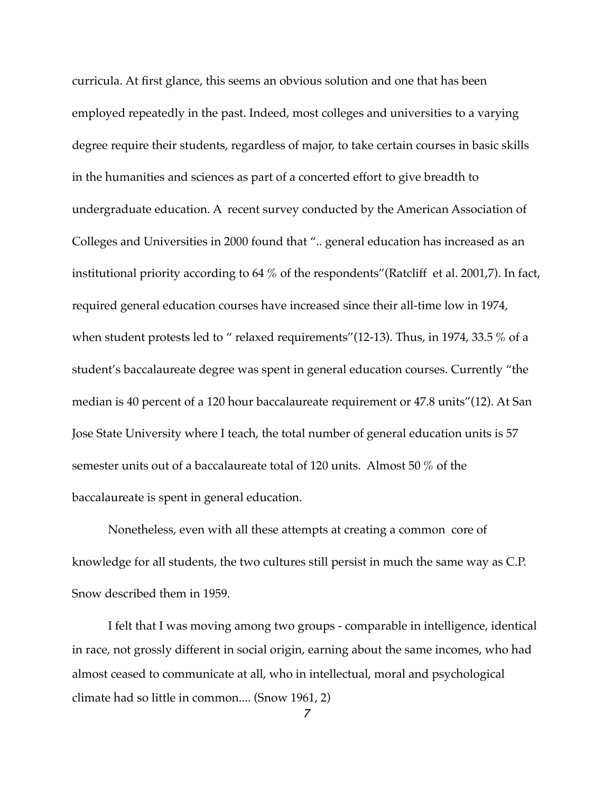curricula. At first glance, this seems an obvious solution and one that has been employed repeatedly in the past. Indeed, most colleges and universities to a varying degree require their students, regardless of major, to take certain courses in basic skills in the humanities and sciences as part of a concerted effort to give breadth to undergraduate education. A recent survey conducted by the American Association of Colleges and Universities in 2000 found that ".. general education has increased as an institutional priority according to 64 % of the respondents"(Ratcliff et al. 2001,7). In fact, required general education courses have increased since their all-time low in 1974, when student protests led to " relaxed requirements" (12-13). Thus, in 1974, 33.5 % of a student's baccalaureate degree was spent in general education courses. Currently "the median is 40 percent of a 120 hour baccalaureate requirement or 47.8 units"(12). At San Jose State University where I teach, the total number of general education units is 57 semester units out of a baccalaureate total of 120 units. Almost 50 % of the baccalaureate is spent in general education.

Nonetheless, even with all these attempts at creating a common core of knowledge for all students, the two cultures still persist in much the same way as C.P. Snow described them in 1959.

I felt that I was moving among two groups - comparable in intelligence, identical in race, not grossly different in social origin, earning about the same incomes, who had almost ceased to communicate at all, who in intellectual, moral and psychological climate had so little in common.... (Snow 1961, 2)

*7*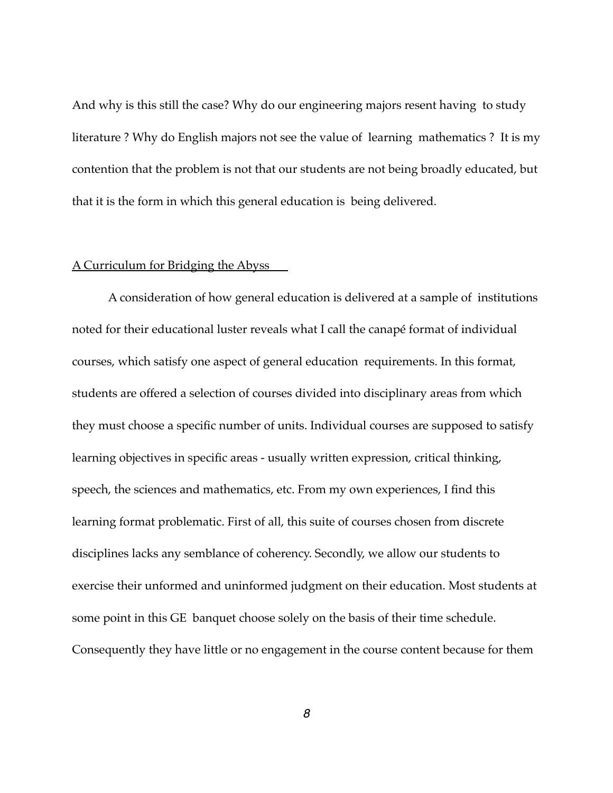And why is this still the case? Why do our engineering majors resent having to study literature ? Why do English majors not see the value of learning mathematics ? It is my contention that the problem is not that our students are not being broadly educated, but that it is the form in which this general education is being delivered.

## A Curriculum for Bridging the Abyss

A consideration of how general education is delivered at a sample of institutions noted for their educational luster reveals what I call the canapé format of individual courses, which satisfy one aspect of general education requirements. In this format, students are offered a selection of courses divided into disciplinary areas from which they must choose a specific number of units. Individual courses are supposed to satisfy learning objectives in specific areas - usually written expression, critical thinking, speech, the sciences and mathematics, etc. From my own experiences, I find this learning format problematic. First of all, this suite of courses chosen from discrete disciplines lacks any semblance of coherency. Secondly, we allow our students to exercise their unformed and uninformed judgment on their education. Most students at some point in this GE banquet choose solely on the basis of their time schedule. Consequently they have little or no engagement in the course content because for them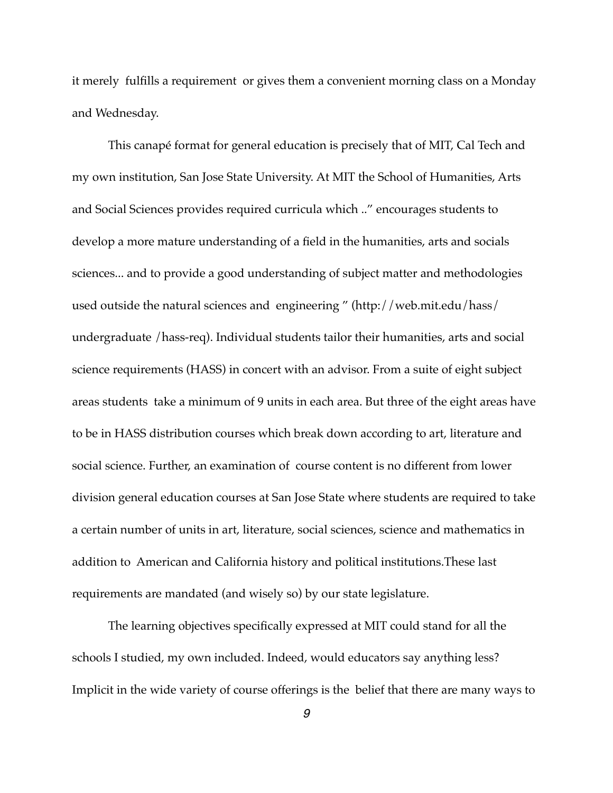it merely fulfills a requirement or gives them a convenient morning class on a Monday and Wednesday.

This canapé format for general education is precisely that of MIT, Cal Tech and my own institution, San Jose State University. At MIT the School of Humanities, Arts and Social Sciences provides required curricula which .." encourages students to develop a more mature understanding of a field in the humanities, arts and socials sciences... and to provide a good understanding of subject matter and methodologies used outside the natural sciences and engineering " (http://web.mit.edu/hass/ undergraduate /hass-req). Individual students tailor their humanities, arts and social science requirements (HASS) in concert with an advisor. From a suite of eight subject areas students take a minimum of 9 units in each area. But three of the eight areas have to be in HASS distribution courses which break down according to art, literature and social science. Further, an examination of course content is no different from lower division general education courses at San Jose State where students are required to take a certain number of units in art, literature, social sciences, science and mathematics in addition to American and California history and political institutions.These last requirements are mandated (and wisely so) by our state legislature.

The learning objectives specifically expressed at MIT could stand for all the schools I studied, my own included. Indeed, would educators say anything less? Implicit in the wide variety of course offerings is the belief that there are many ways to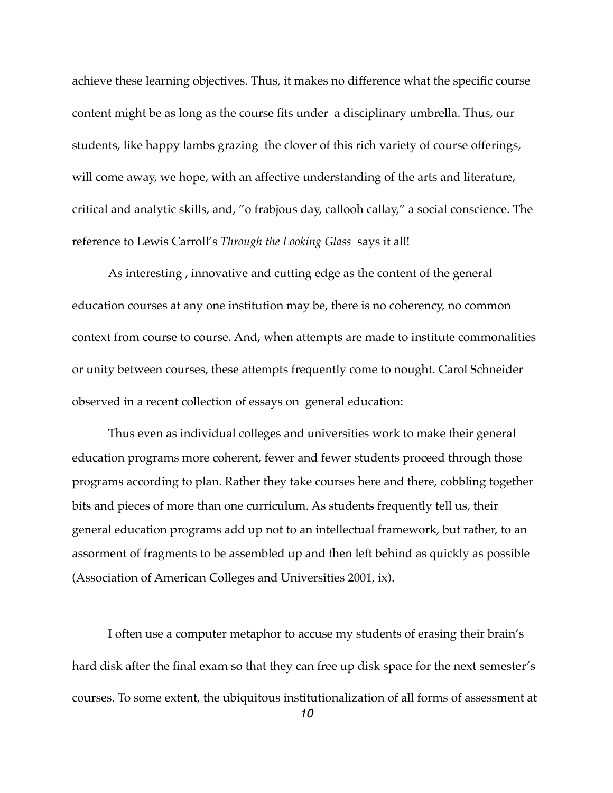achieve these learning objectives. Thus, it makes no difference what the specific course content might be as long as the course fits under a disciplinary umbrella. Thus, our students, like happy lambs grazing the clover of this rich variety of course offerings, will come away, we hope, with an affective understanding of the arts and literature, critical and analytic skills, and, "o frabjous day, callooh callay," a social conscience. The reference to Lewis Carroll's *Through the Looking Glass* says it all!

As interesting , innovative and cutting edge as the content of the general education courses at any one institution may be, there is no coherency, no common context from course to course. And, when attempts are made to institute commonalities or unity between courses, these attempts frequently come to nought. Carol Schneider observed in a recent collection of essays on general education:

Thus even as individual colleges and universities work to make their general education programs more coherent, fewer and fewer students proceed through those programs according to plan. Rather they take courses here and there, cobbling together bits and pieces of more than one curriculum. As students frequently tell us, their general education programs add up not to an intellectual framework, but rather, to an assorment of fragments to be assembled up and then left behind as quickly as possible (Association of American Colleges and Universities 2001, ix).

I often use a computer metaphor to accuse my students of erasing their brain's hard disk after the final exam so that they can free up disk space for the next semester's courses. To some extent, the ubiquitous institutionalization of all forms of assessment at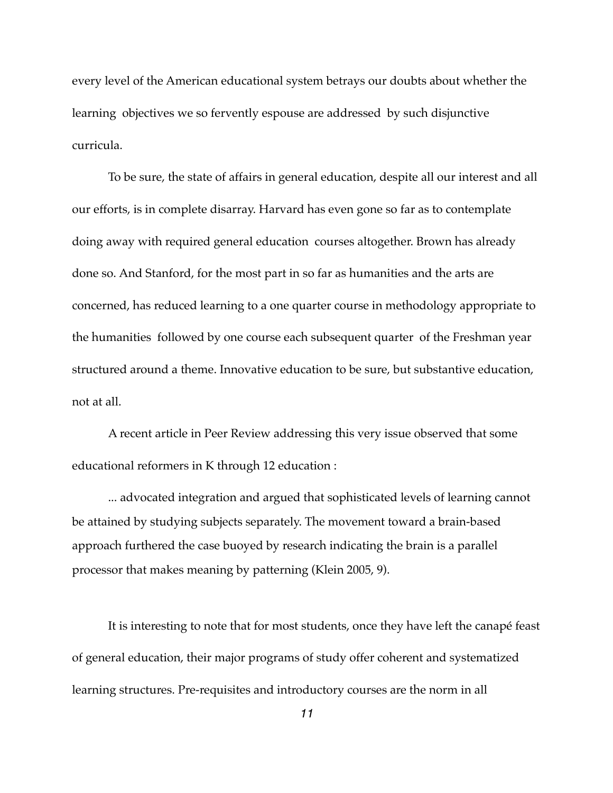every level of the American educational system betrays our doubts about whether the learning objectives we so fervently espouse are addressed by such disjunctive curricula.

To be sure, the state of affairs in general education, despite all our interest and all our efforts, is in complete disarray. Harvard has even gone so far as to contemplate doing away with required general education courses altogether. Brown has already done so. And Stanford, for the most part in so far as humanities and the arts are concerned, has reduced learning to a one quarter course in methodology appropriate to the humanities followed by one course each subsequent quarter of the Freshman year structured around a theme. Innovative education to be sure, but substantive education, not at all.

A recent article in Peer Review addressing this very issue observed that some educational reformers in K through 12 education :

... advocated integration and argued that sophisticated levels of learning cannot be attained by studying subjects separately. The movement toward a brain-based approach furthered the case buoyed by research indicating the brain is a parallel processor that makes meaning by patterning (Klein 2005, 9).

It is interesting to note that for most students, once they have left the canapé feast of general education, their major programs of study offer coherent and systematized learning structures. Pre-requisites and introductory courses are the norm in all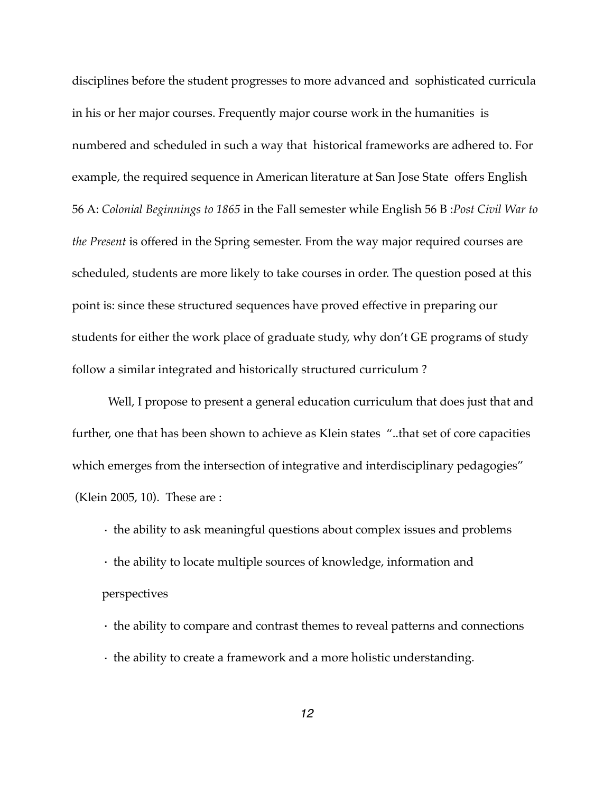disciplines before the student progresses to more advanced and sophisticated curricula in his or her major courses. Frequently major course work in the humanities is numbered and scheduled in such a way that historical frameworks are adhered to. For example, the required sequence in American literature at San Jose State offers English 56 A: *Colonial Beginnings to 1865* in the Fall semester while English 56 B :*Post Civil War to the Present* is offered in the Spring semester. From the way major required courses are scheduled, students are more likely to take courses in order. The question posed at this point is: since these structured sequences have proved effective in preparing our students for either the work place of graduate study, why don't GE programs of study follow a similar integrated and historically structured curriculum ?

Well, I propose to present a general education curriculum that does just that and further, one that has been shown to achieve as Klein states "..that set of core capacities which emerges from the intersection of integrative and interdisciplinary pedagogies" (Klein 2005, 10). These are :

- · the ability to ask meaningful questions about complex issues and problems
- · the ability to locate multiple sources of knowledge, information and perspectives
- · the ability to compare and contrast themes to reveal patterns and connections
- · the ability to create a framework and a more holistic understanding.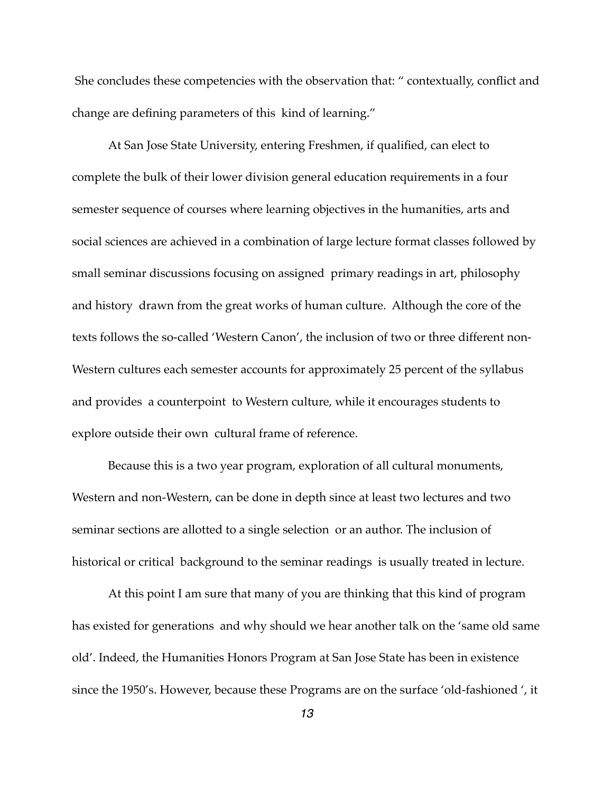She concludes these competencies with the observation that: " contextually, conflict and change are defining parameters of this kind of learning."

At San Jose State University, entering Freshmen, if qualified, can elect to complete the bulk of their lower division general education requirements in a four semester sequence of courses where learning objectives in the humanities, arts and social sciences are achieved in a combination of large lecture format classes followed by small seminar discussions focusing on assigned primary readings in art, philosophy and history drawn from the great works of human culture. Although the core of the texts follows the so-called 'Western Canon', the inclusion of two or three different non-Western cultures each semester accounts for approximately 25 percent of the syllabus and provides a counterpoint to Western culture, while it encourages students to explore outside their own cultural frame of reference.

Because this is a two year program, exploration of all cultural monuments, Western and non-Western, can be done in depth since at least two lectures and two seminar sections are allotted to a single selection or an author. The inclusion of historical or critical background to the seminar readings is usually treated in lecture.

At this point I am sure that many of you are thinking that this kind of program has existed for generations and why should we hear another talk on the 'same old same old'. Indeed, the Humanities Honors Program at San Jose State has been in existence since the 1950's. However, because these Programs are on the surface 'old-fashioned ', it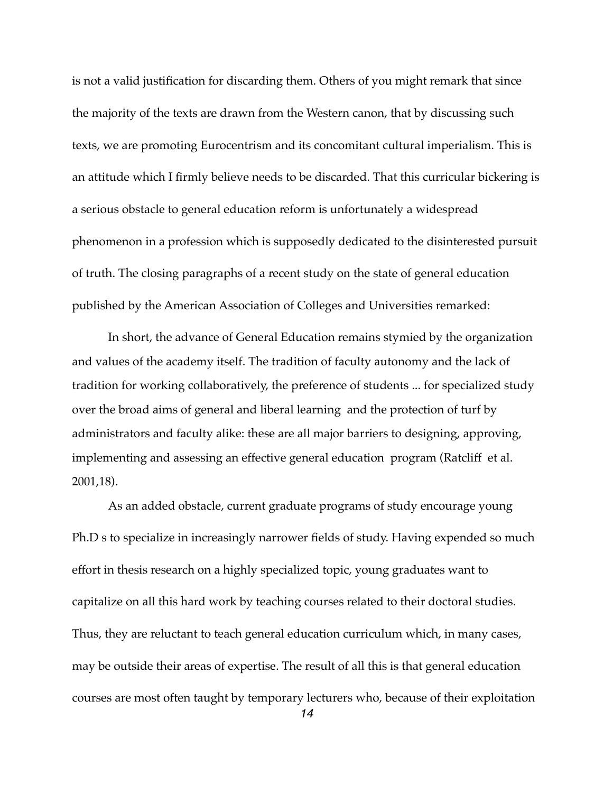is not a valid justification for discarding them. Others of you might remark that since the majority of the texts are drawn from the Western canon, that by discussing such texts, we are promoting Eurocentrism and its concomitant cultural imperialism. This is an attitude which I firmly believe needs to be discarded. That this curricular bickering is a serious obstacle to general education reform is unfortunately a widespread phenomenon in a profession which is supposedly dedicated to the disinterested pursuit of truth. The closing paragraphs of a recent study on the state of general education published by the American Association of Colleges and Universities remarked:

In short, the advance of General Education remains stymied by the organization and values of the academy itself. The tradition of faculty autonomy and the lack of tradition for working collaboratively, the preference of students ... for specialized study over the broad aims of general and liberal learning and the protection of turf by administrators and faculty alike: these are all major barriers to designing, approving, implementing and assessing an effective general education program (Ratcliff et al. 2001,18).

As an added obstacle, current graduate programs of study encourage young Ph.D s to specialize in increasingly narrower fields of study. Having expended so much effort in thesis research on a highly specialized topic, young graduates want to capitalize on all this hard work by teaching courses related to their doctoral studies. Thus, they are reluctant to teach general education curriculum which, in many cases, may be outside their areas of expertise. The result of all this is that general education courses are most often taught by temporary lecturers who, because of their exploitation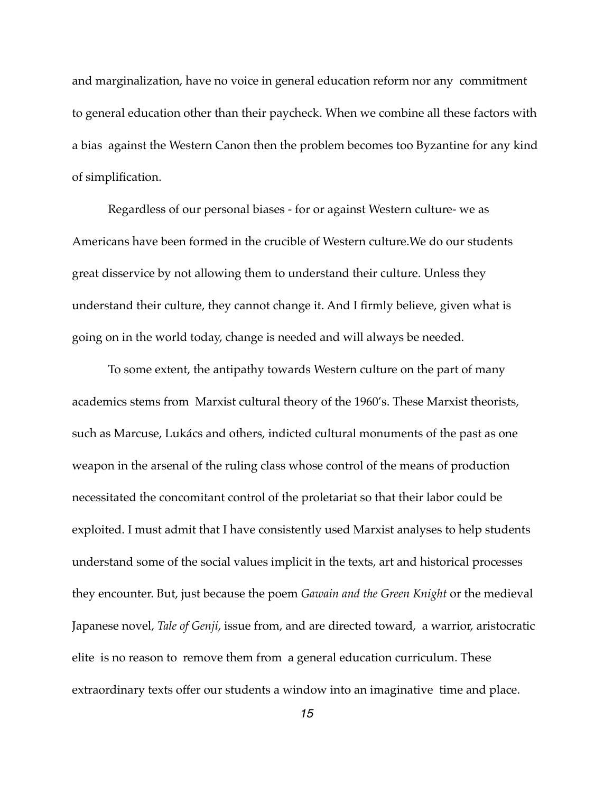and marginalization, have no voice in general education reform nor any commitment to general education other than their paycheck. When we combine all these factors with a bias against the Western Canon then the problem becomes too Byzantine for any kind of simplification.

Regardless of our personal biases - for or against Western culture- we as Americans have been formed in the crucible of Western culture.We do our students great disservice by not allowing them to understand their culture. Unless they understand their culture, they cannot change it. And I firmly believe, given what is going on in the world today, change is needed and will always be needed.

To some extent, the antipathy towards Western culture on the part of many academics stems from Marxist cultural theory of the 1960's. These Marxist theorists, such as Marcuse, Lukács and others, indicted cultural monuments of the past as one weapon in the arsenal of the ruling class whose control of the means of production necessitated the concomitant control of the proletariat so that their labor could be exploited. I must admit that I have consistently used Marxist analyses to help students understand some of the social values implicit in the texts, art and historical processes they encounter. But, just because the poem *Gawain and the Green Knight* or the medieval Japanese novel, *Tale of Genji*, issue from, and are directed toward, a warrior, aristocratic elite is no reason to remove them from a general education curriculum. These extraordinary texts offer our students a window into an imaginative time and place.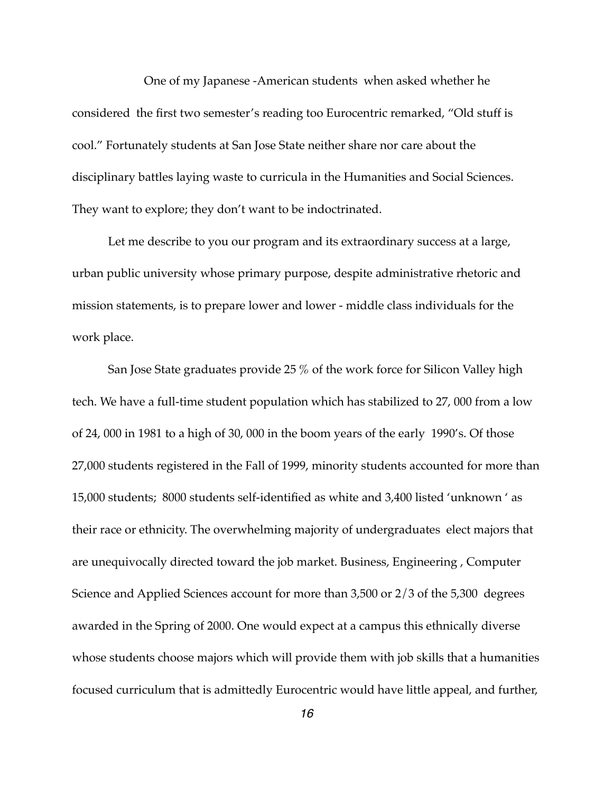One of my Japanese -American students when asked whether he considered the first two semester's reading too Eurocentric remarked, "Old stuff is cool." Fortunately students at San Jose State neither share nor care about the disciplinary battles laying waste to curricula in the Humanities and Social Sciences. They want to explore; they don't want to be indoctrinated.

Let me describe to you our program and its extraordinary success at a large, urban public university whose primary purpose, despite administrative rhetoric and mission statements, is to prepare lower and lower - middle class individuals for the work place.

San Jose State graduates provide 25 % of the work force for Silicon Valley high tech. We have a full-time student population which has stabilized to 27, 000 from a low of 24, 000 in 1981 to a high of 30, 000 in the boom years of the early 1990's. Of those 27,000 students registered in the Fall of 1999, minority students accounted for more than 15,000 students; 8000 students self-identified as white and 3,400 listed 'unknown ' as their race or ethnicity. The overwhelming majority of undergraduates elect majors that are unequivocally directed toward the job market. Business, Engineering , Computer Science and Applied Sciences account for more than 3,500 or 2/3 of the 5,300 degrees awarded in the Spring of 2000. One would expect at a campus this ethnically diverse whose students choose majors which will provide them with job skills that a humanities focused curriculum that is admittedly Eurocentric would have little appeal, and further,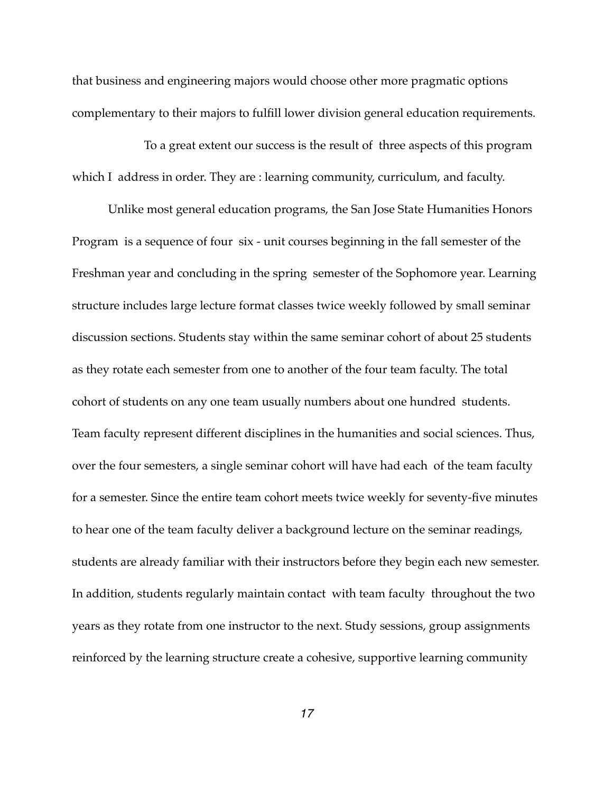that business and engineering majors would choose other more pragmatic options complementary to their majors to fulfill lower division general education requirements.

To a great extent our success is the result of three aspects of this program which I address in order. They are : learning community, curriculum, and faculty.

Unlike most general education programs, the San Jose State Humanities Honors Program is a sequence of four six - unit courses beginning in the fall semester of the Freshman year and concluding in the spring semester of the Sophomore year. Learning structure includes large lecture format classes twice weekly followed by small seminar discussion sections. Students stay within the same seminar cohort of about 25 students as they rotate each semester from one to another of the four team faculty. The total cohort of students on any one team usually numbers about one hundred students. Team faculty represent different disciplines in the humanities and social sciences. Thus, over the four semesters, a single seminar cohort will have had each of the team faculty for a semester. Since the entire team cohort meets twice weekly for seventy-five minutes to hear one of the team faculty deliver a background lecture on the seminar readings, students are already familiar with their instructors before they begin each new semester. In addition, students regularly maintain contact with team faculty throughout the two years as they rotate from one instructor to the next. Study sessions, group assignments reinforced by the learning structure create a cohesive, supportive learning community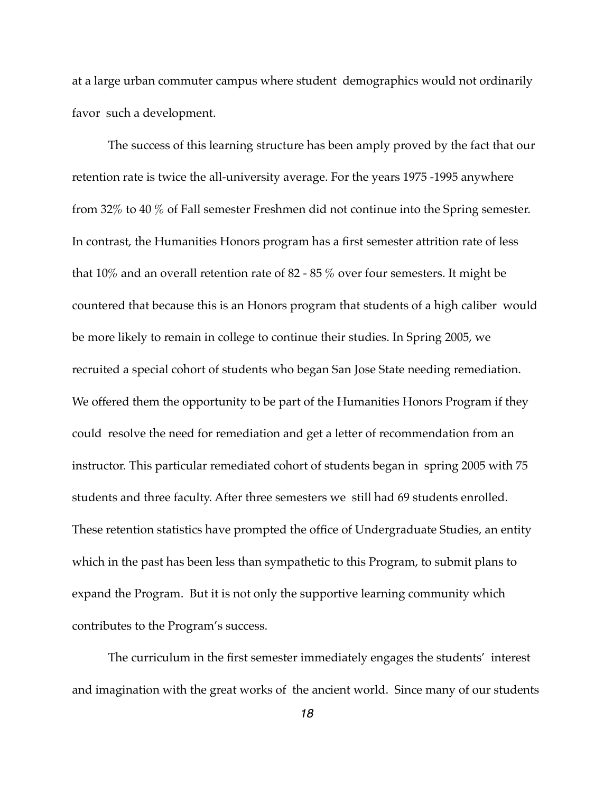at a large urban commuter campus where student demographics would not ordinarily favor such a development.

The success of this learning structure has been amply proved by the fact that our retention rate is twice the all-university average. For the years 1975 -1995 anywhere from 32% to 40 % of Fall semester Freshmen did not continue into the Spring semester. In contrast, the Humanities Honors program has a first semester attrition rate of less that 10% and an overall retention rate of 82 - 85 % over four semesters. It might be countered that because this is an Honors program that students of a high caliber would be more likely to remain in college to continue their studies. In Spring 2005, we recruited a special cohort of students who began San Jose State needing remediation. We offered them the opportunity to be part of the Humanities Honors Program if they could resolve the need for remediation and get a letter of recommendation from an instructor. This particular remediated cohort of students began in spring 2005 with 75 students and three faculty. After three semesters we still had 69 students enrolled. These retention statistics have prompted the office of Undergraduate Studies, an entity which in the past has been less than sympathetic to this Program, to submit plans to expand the Program. But it is not only the supportive learning community which contributes to the Program's success.

The curriculum in the first semester immediately engages the students' interest and imagination with the great works of the ancient world. Since many of our students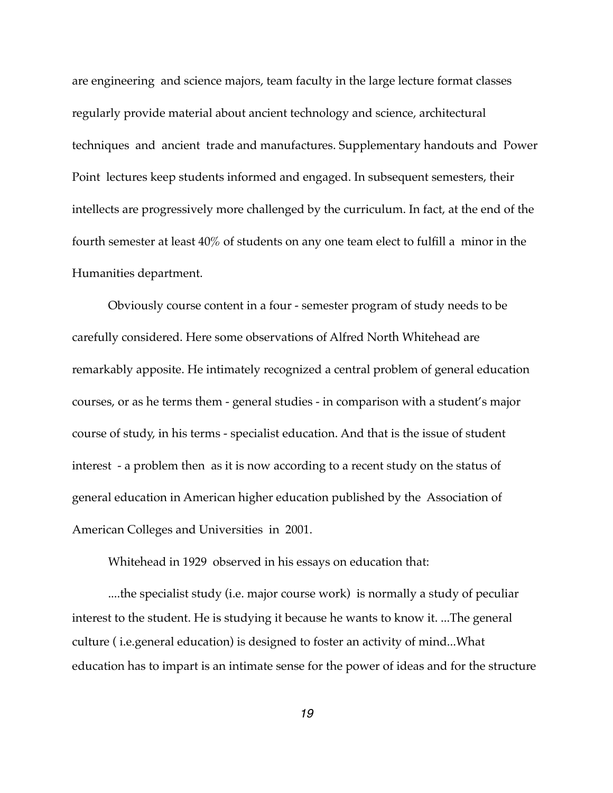are engineering and science majors, team faculty in the large lecture format classes regularly provide material about ancient technology and science, architectural techniques and ancient trade and manufactures. Supplementary handouts and Power Point lectures keep students informed and engaged. In subsequent semesters, their intellects are progressively more challenged by the curriculum. In fact, at the end of the fourth semester at least 40% of students on any one team elect to fulfill a minor in the Humanities department.

Obviously course content in a four - semester program of study needs to be carefully considered. Here some observations of Alfred North Whitehead are remarkably apposite. He intimately recognized a central problem of general education courses, or as he terms them - general studies - in comparison with a student's major course of study, in his terms - specialist education. And that is the issue of student interest - a problem then as it is now according to a recent study on the status of general education in American higher education published by the Association of American Colleges and Universities in 2001.

Whitehead in 1929 observed in his essays on education that:

....the specialist study (i.e. major course work) is normally a study of peculiar interest to the student. He is studying it because he wants to know it. ...The general culture ( i.e.general education) is designed to foster an activity of mind...What education has to impart is an intimate sense for the power of ideas and for the structure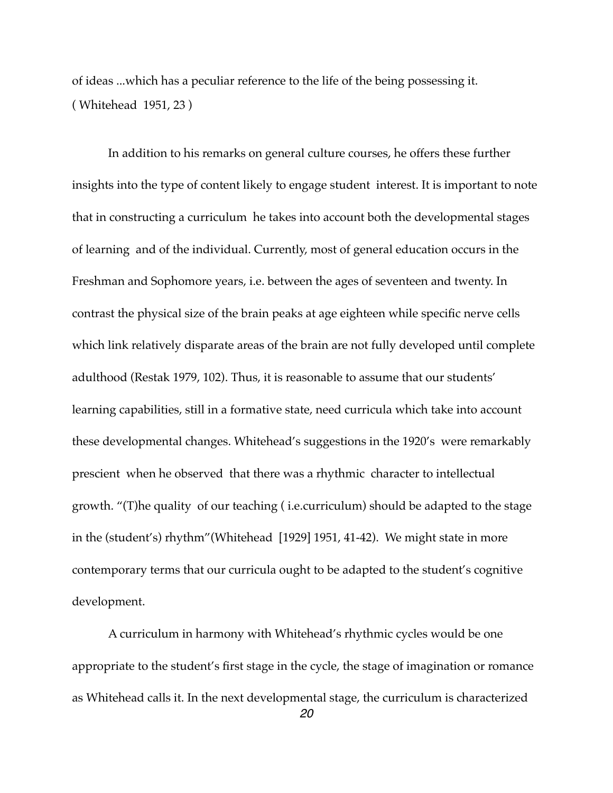of ideas ...which has a peculiar reference to the life of the being possessing it. ( Whitehead 1951, 23 )

In addition to his remarks on general culture courses, he offers these further insights into the type of content likely to engage student interest. It is important to note that in constructing a curriculum he takes into account both the developmental stages of learning and of the individual. Currently, most of general education occurs in the Freshman and Sophomore years, i.e. between the ages of seventeen and twenty. In contrast the physical size of the brain peaks at age eighteen while specific nerve cells which link relatively disparate areas of the brain are not fully developed until complete adulthood (Restak 1979, 102). Thus, it is reasonable to assume that our students' learning capabilities, still in a formative state, need curricula which take into account these developmental changes. Whitehead's suggestions in the 1920's were remarkably prescient when he observed that there was a rhythmic character to intellectual growth. "(T)he quality of our teaching ( i.e.curriculum) should be adapted to the stage in the (student's) rhythm"(Whitehead [1929] 1951, 41-42). We might state in more contemporary terms that our curricula ought to be adapted to the student's cognitive development.

A curriculum in harmony with Whitehead's rhythmic cycles would be one appropriate to the student's first stage in the cycle, the stage of imagination or romance as Whitehead calls it. In the next developmental stage, the curriculum is characterized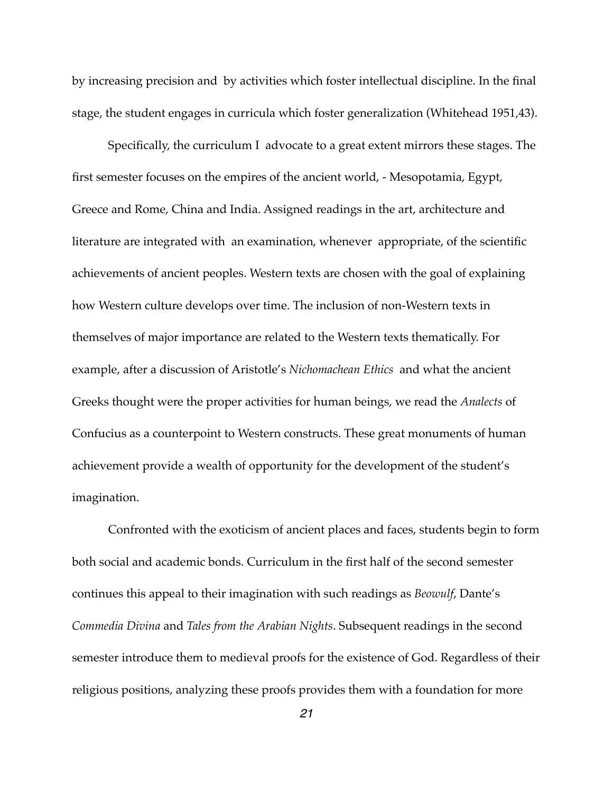by increasing precision and by activities which foster intellectual discipline. In the final stage, the student engages in curricula which foster generalization (Whitehead 1951,43).

Specifically, the curriculum I advocate to a great extent mirrors these stages. The first semester focuses on the empires of the ancient world, - Mesopotamia, Egypt, Greece and Rome, China and India. Assigned readings in the art, architecture and literature are integrated with an examination, whenever appropriate, of the scientific achievements of ancient peoples. Western texts are chosen with the goal of explaining how Western culture develops over time. The inclusion of non-Western texts in themselves of major importance are related to the Western texts thematically. For example, after a discussion of Aristotle's *Nichomachean Ethics* and what the ancient Greeks thought were the proper activities for human beings, we read the *Analects* of Confucius as a counterpoint to Western constructs. These great monuments of human achievement provide a wealth of opportunity for the development of the student's imagination.

Confronted with the exoticism of ancient places and faces, students begin to form both social and academic bonds. Curriculum in the first half of the second semester continues this appeal to their imagination with such readings as *Beowulf*, Dante's *Commedia Divina* and *Tales from the Arabian Nights*. Subsequent readings in the second semester introduce them to medieval proofs for the existence of God. Regardless of their religious positions, analyzing these proofs provides them with a foundation for more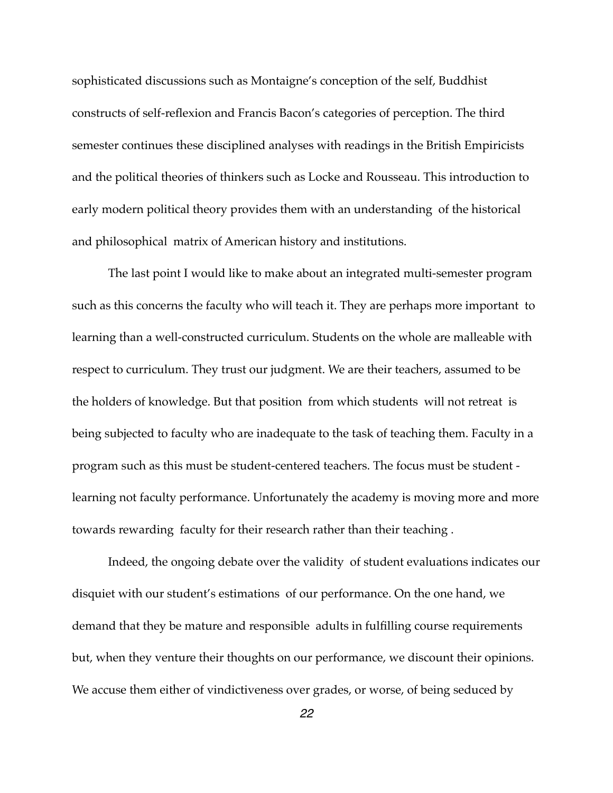sophisticated discussions such as Montaigne's conception of the self, Buddhist constructs of self-reflexion and Francis Bacon's categories of perception. The third semester continues these disciplined analyses with readings in the British Empiricists and the political theories of thinkers such as Locke and Rousseau. This introduction to early modern political theory provides them with an understanding of the historical and philosophical matrix of American history and institutions.

The last point I would like to make about an integrated multi-semester program such as this concerns the faculty who will teach it. They are perhaps more important to learning than a well-constructed curriculum. Students on the whole are malleable with respect to curriculum. They trust our judgment. We are their teachers, assumed to be the holders of knowledge. But that position from which students will not retreat is being subjected to faculty who are inadequate to the task of teaching them. Faculty in a program such as this must be student-centered teachers. The focus must be student learning not faculty performance. Unfortunately the academy is moving more and more towards rewarding faculty for their research rather than their teaching .

Indeed, the ongoing debate over the validity of student evaluations indicates our disquiet with our student's estimations of our performance. On the one hand, we demand that they be mature and responsible adults in fulfilling course requirements but, when they venture their thoughts on our performance, we discount their opinions. We accuse them either of vindictiveness over grades, or worse, of being seduced by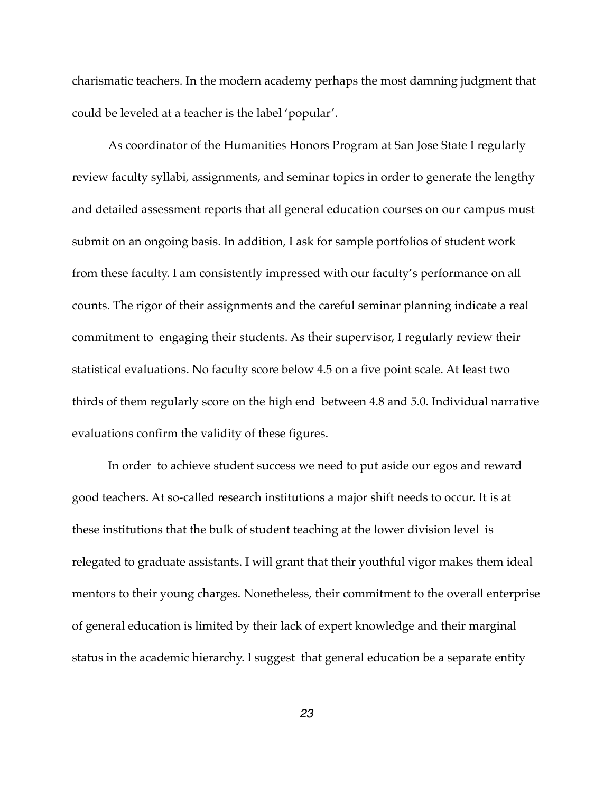charismatic teachers. In the modern academy perhaps the most damning judgment that could be leveled at a teacher is the label 'popular'.

As coordinator of the Humanities Honors Program at San Jose State I regularly review faculty syllabi, assignments, and seminar topics in order to generate the lengthy and detailed assessment reports that all general education courses on our campus must submit on an ongoing basis. In addition, I ask for sample portfolios of student work from these faculty. I am consistently impressed with our faculty's performance on all counts. The rigor of their assignments and the careful seminar planning indicate a real commitment to engaging their students. As their supervisor, I regularly review their statistical evaluations. No faculty score below 4.5 on a five point scale. At least two thirds of them regularly score on the high end between 4.8 and 5.0. Individual narrative evaluations confirm the validity of these figures.

In order to achieve student success we need to put aside our egos and reward good teachers. At so-called research institutions a major shift needs to occur. It is at these institutions that the bulk of student teaching at the lower division level is relegated to graduate assistants. I will grant that their youthful vigor makes them ideal mentors to their young charges. Nonetheless, their commitment to the overall enterprise of general education is limited by their lack of expert knowledge and their marginal status in the academic hierarchy. I suggest that general education be a separate entity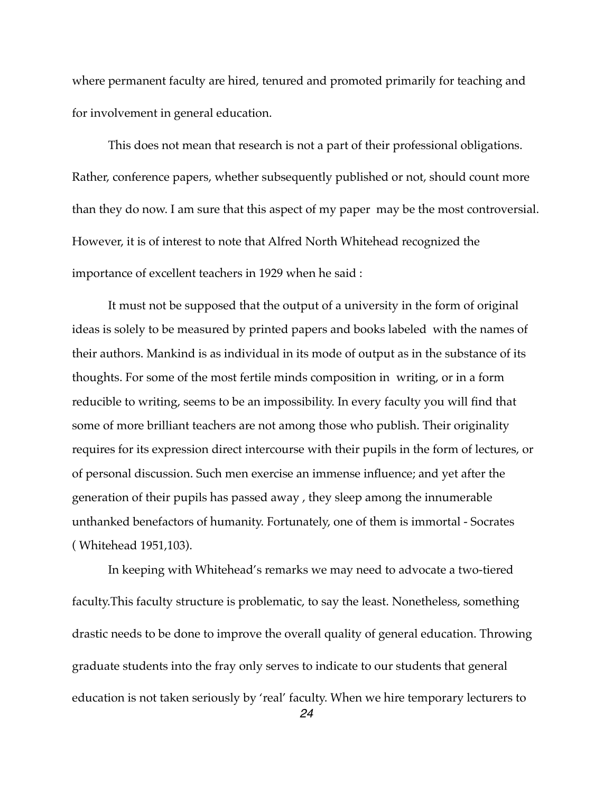where permanent faculty are hired, tenured and promoted primarily for teaching and for involvement in general education.

This does not mean that research is not a part of their professional obligations. Rather, conference papers, whether subsequently published or not, should count more than they do now. I am sure that this aspect of my paper may be the most controversial. However, it is of interest to note that Alfred North Whitehead recognized the importance of excellent teachers in 1929 when he said :

It must not be supposed that the output of a university in the form of original ideas is solely to be measured by printed papers and books labeled with the names of their authors. Mankind is as individual in its mode of output as in the substance of its thoughts. For some of the most fertile minds composition in writing, or in a form reducible to writing, seems to be an impossibility. In every faculty you will find that some of more brilliant teachers are not among those who publish. Their originality requires for its expression direct intercourse with their pupils in the form of lectures, or of personal discussion. Such men exercise an immense influence; and yet after the generation of their pupils has passed away , they sleep among the innumerable unthanked benefactors of humanity. Fortunately, one of them is immortal - Socrates ( Whitehead 1951,103).

In keeping with Whitehead's remarks we may need to advocate a two-tiered faculty.This faculty structure is problematic, to say the least. Nonetheless, something drastic needs to be done to improve the overall quality of general education. Throwing graduate students into the fray only serves to indicate to our students that general education is not taken seriously by 'real' faculty. When we hire temporary lecturers to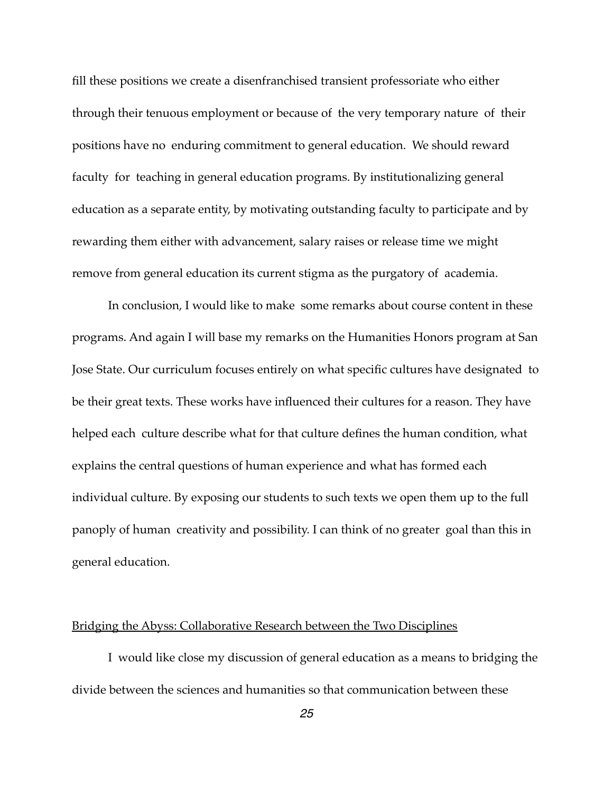fill these positions we create a disenfranchised transient professoriate who either through their tenuous employment or because of the very temporary nature of their positions have no enduring commitment to general education. We should reward faculty for teaching in general education programs. By institutionalizing general education as a separate entity, by motivating outstanding faculty to participate and by rewarding them either with advancement, salary raises or release time we might remove from general education its current stigma as the purgatory of academia.

In conclusion, I would like to make some remarks about course content in these programs. And again I will base my remarks on the Humanities Honors program at San Jose State. Our curriculum focuses entirely on what specific cultures have designated to be their great texts. These works have influenced their cultures for a reason. They have helped each culture describe what for that culture defines the human condition, what explains the central questions of human experience and what has formed each individual culture. By exposing our students to such texts we open them up to the full panoply of human creativity and possibility. I can think of no greater goal than this in general education.

#### Bridging the Abyss: Collaborative Research between the Two Disciplines

I would like close my discussion of general education as a means to bridging the divide between the sciences and humanities so that communication between these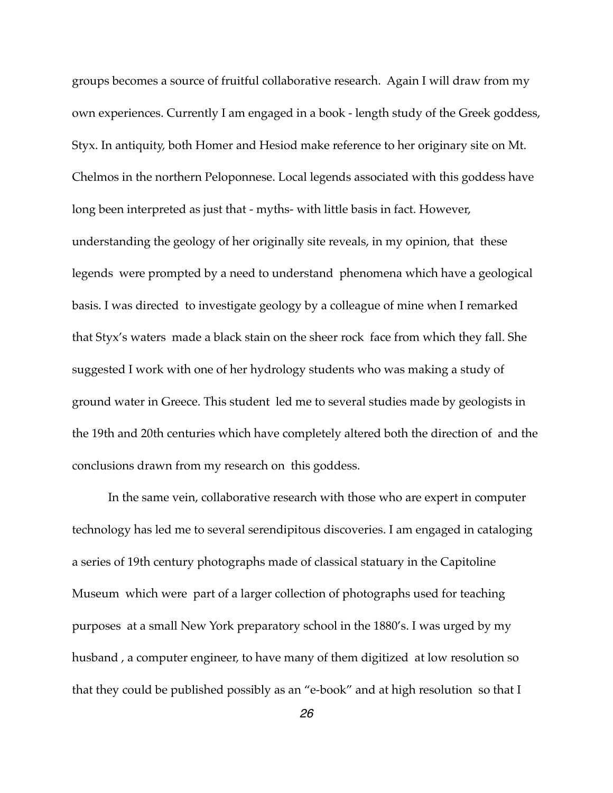groups becomes a source of fruitful collaborative research. Again I will draw from my own experiences. Currently I am engaged in a book - length study of the Greek goddess, Styx. In antiquity, both Homer and Hesiod make reference to her originary site on Mt. Chelmos in the northern Peloponnese. Local legends associated with this goddess have long been interpreted as just that - myths- with little basis in fact. However, understanding the geology of her originally site reveals, in my opinion, that these legends were prompted by a need to understand phenomena which have a geological basis. I was directed to investigate geology by a colleague of mine when I remarked that Styx's waters made a black stain on the sheer rock face from which they fall. She suggested I work with one of her hydrology students who was making a study of ground water in Greece. This student led me to several studies made by geologists in the 19th and 20th centuries which have completely altered both the direction of and the conclusions drawn from my research on this goddess.

In the same vein, collaborative research with those who are expert in computer technology has led me to several serendipitous discoveries. I am engaged in cataloging a series of 19th century photographs made of classical statuary in the Capitoline Museum which were part of a larger collection of photographs used for teaching purposes at a small New York preparatory school in the 1880's. I was urged by my husband , a computer engineer, to have many of them digitized at low resolution so that they could be published possibly as an "e-book" and at high resolution so that I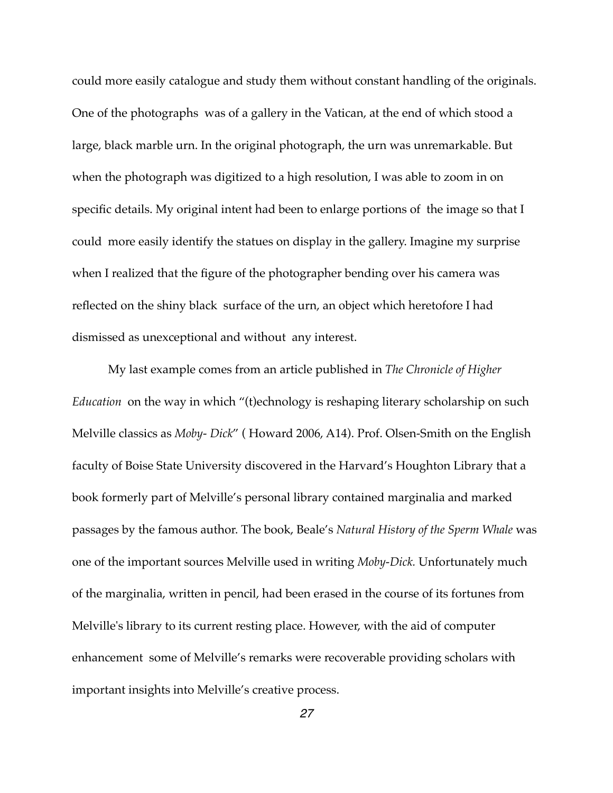could more easily catalogue and study them without constant handling of the originals. One of the photographs was of a gallery in the Vatican, at the end of which stood a large, black marble urn. In the original photograph, the urn was unremarkable. But when the photograph was digitized to a high resolution, I was able to zoom in on specific details. My original intent had been to enlarge portions of the image so that I could more easily identify the statues on display in the gallery. Imagine my surprise when I realized that the figure of the photographer bending over his camera was reflected on the shiny black surface of the urn, an object which heretofore I had dismissed as unexceptional and without any interest.

My last example comes from an article published in *The Chronicle of Higher Education* on the way in which "(t)echnology is reshaping literary scholarship on such Melville classics as *Moby- Dick*" ( Howard 2006, A14). Prof. Olsen-Smith on the English faculty of Boise State University discovered in the Harvard's Houghton Library that a book formerly part of Melville's personal library contained marginalia and marked passages by the famous author. The book, Beale's *Natural History of the Sperm Whale* was one of the important sources Melville used in writing *Moby-Dick.* Unfortunately much of the marginalia, written in pencil, had been erased in the course of its fortunes from Melville's library to its current resting place. However, with the aid of computer enhancement some of Melville's remarks were recoverable providing scholars with important insights into Melville's creative process.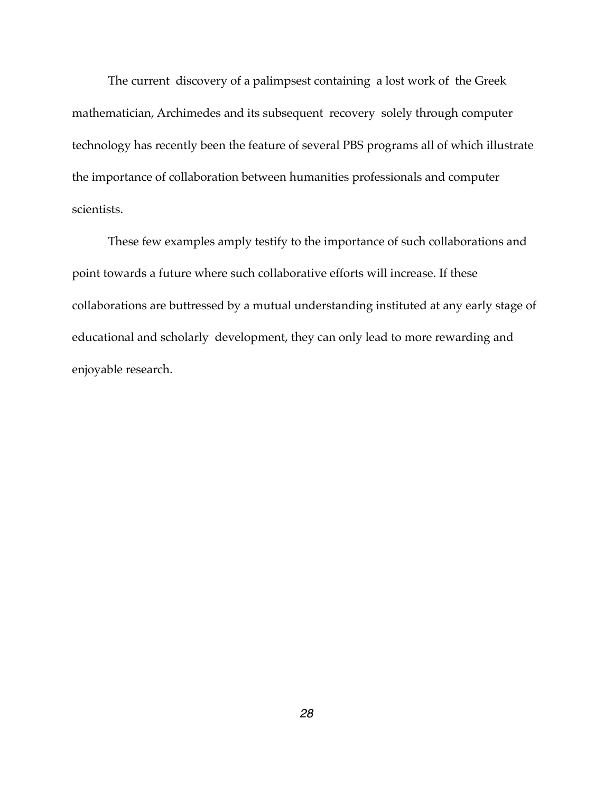The current discovery of a palimpsest containing a lost work of the Greek mathematician, Archimedes and its subsequent recovery solely through computer technology has recently been the feature of several PBS programs all of which illustrate the importance of collaboration between humanities professionals and computer scientists.

These few examples amply testify to the importance of such collaborations and point towards a future where such collaborative efforts will increase. If these collaborations are buttressed by a mutual understanding instituted at any early stage of educational and scholarly development, they can only lead to more rewarding and enjoyable research.